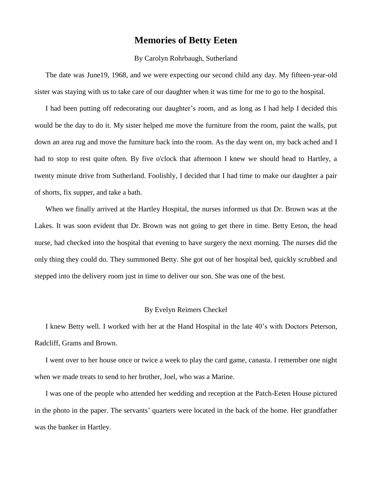## **Memories of Betty Eeten**

## By Carolyn Rohrbaugh, Sutherland

The date was June19, 1968, and we were expecting our second child any day. My fifteen-year-old sister was staying with us to take care of our daughter when it was time for me to go to the hospital.

I had been putting off redecorating our daughter's room, and as long as I had help I decided this would be the day to do it. My sister helped me move the furniture from the room, paint the walls, put down an area rug and move the furniture back into the room. As the day went on, my back ached and I had to stop to rest quite often. By five o'clock that afternoon I knew we should head to Hartley, a twenty minute drive from Sutherland. Foolishly, I decided that I had time to make our daughter a pair of shorts, fix supper, and take a bath.

When we finally arrived at the Hartley Hospital, the nurses informed us that Dr. Brown was at the Lakes. It was soon evident that Dr. Brown was not going to get there in time. Betty Eeton, the head nurse, had checked into the hospital that evening to have surgery the next morning. The nurses did the only thing they could do. They summoned Betty. She got out of her hospital bed, quickly scrubbed and stepped into the delivery room just in time to deliver our son. She was one of the best.

## By Evelyn Reimers Checkel

I knew Betty well. I worked with her at the Hand Hospital in the late 40's with Doctors Peterson, Radcliff, Grams and Brown.

I went over to her house once or twice a week to play the card game, canasta. I remember one night when we made treats to send to her brother, Joel, who was a Marine.

I was one of the people who attended her wedding and reception at the Patch-Eeten House pictured in the photo in the paper. The servants' quarters were located in the back of the home. Her grandfather was the banker in Hartley.